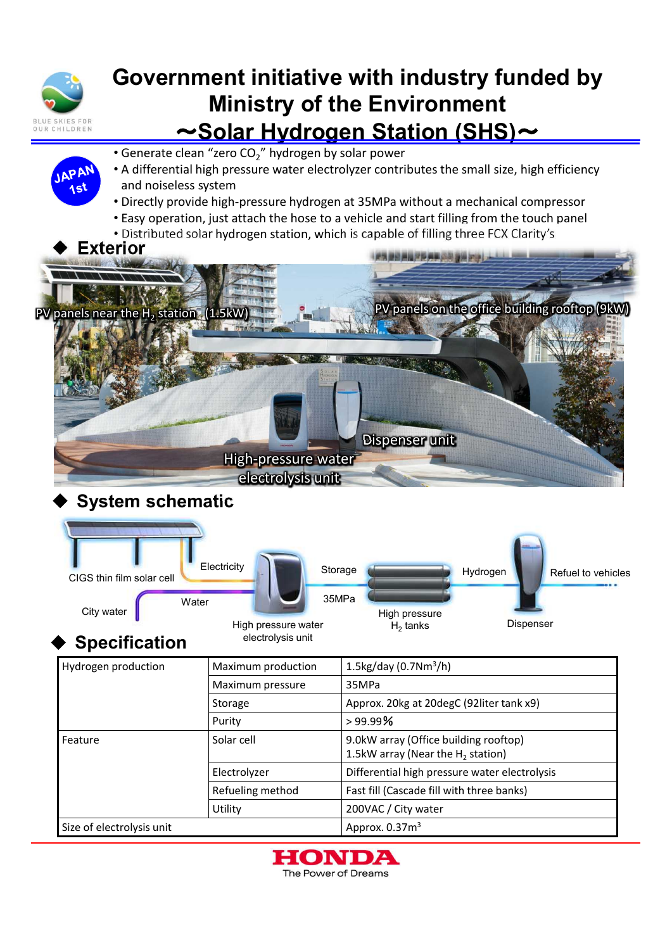

APAM ا ۾ ۱

## **Government initiative with industry funded by Ministry of the Environment** ~**Solar Hydrogen Station (SHS)**~

- Generate clean "zero CO<sub>2</sub>" hydrogen by solar power
- A differential high pressure water electrolyzer contributes the small size, high efficiency and noiseless system
	- Directly provide high-pressure hydrogen at 35MPa without a mechanical compressor
	- Easy operation, just attach the hose to a vehicle and start filling from the touch panel
	- Distributed solar hydrogen station, which is capable of filling three FCX Clarity's



## **System schematic**

| CIGS thin film solar cell                 | Electricity                              | Storage |                                      | Hydrogen  | Refuel to vehicles |
|-------------------------------------------|------------------------------------------|---------|--------------------------------------|-----------|--------------------|
| Water<br>City water                       |                                          | 35MPa   | High pressure                        |           |                    |
| <b>Specification</b>                      | High pressure water<br>electrolysis unit |         | $H_2$ tanks                          | Dispenser |                    |
| Hudrogan production<br>Movimum production |                                          |         | $1$ Elcoldou (0.7Nm <sup>3</sup> /h) |           |                    |

| Hydrogen production       | Maximum production | 1.5kg/day (0.7Nm <sup>3</sup> /h)                                             |  |  |
|---------------------------|--------------------|-------------------------------------------------------------------------------|--|--|
|                           | Maximum pressure   | 35MPa                                                                         |  |  |
|                           | Storage            | Approx. 20kg at 20degC (92liter tank x9)                                      |  |  |
|                           | Purity             | >99.99%                                                                       |  |  |
| Feature                   | Solar cell         | 9.0kW array (Office building rooftop)<br>1.5kW array (Near the $H_2$ station) |  |  |
|                           | Electrolyzer       | Differential high pressure water electrolysis                                 |  |  |
|                           | Refueling method   | Fast fill (Cascade fill with three banks)                                     |  |  |
|                           | Utility            | 200VAC / City water                                                           |  |  |
| Size of electrolysis unit |                    | Approx. $0.373$                                                               |  |  |